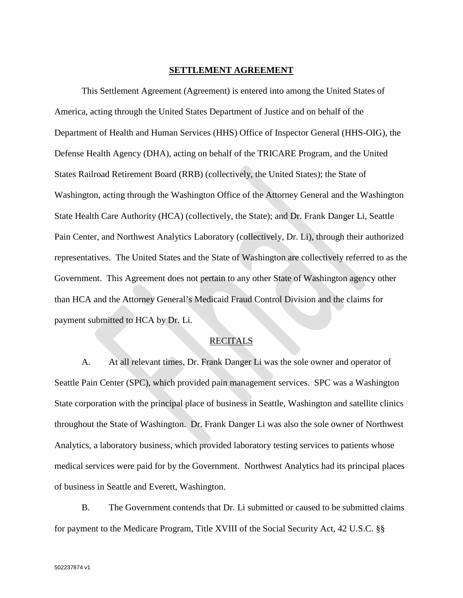#### **SETTLEMENT AGREEMENT**

This Settlement Agreement (Agreement) is entered into among the United States of America, acting through the United States Department of Justice and on behalf of the Department of Health and Human Services (HHS) Office of Inspector General (HHS-OIG), the Defense Health Agency (DHA), acting on behalf of the TRICARE Program, and the United States Railroad Retirement Board (RRB) (collectively, the United States); the State of Washington, acting through the Washington Office of the Attorney General and the Washington State Health Care Authority (HCA) (collectively, the State); and Dr. Frank Danger Li, Seattle Pain Center, and Northwest Analytics Laboratory (collectively, Dr. Li), through their authorized representatives. The United States and the State of Washington are collectively referred to as the Government. This Agreement does not pertain to any other State of Washington agency other than HCA and the Attorney General's Medicaid Fraud Control Division and the claims for payment submitted to HCA by Dr. Li.

## **RECITALS**

A. At all relevant times, Dr. Frank Danger Li was the sole owner and operator of Seattle Pain Center (SPC), which provided pain management services. SPC was a Washington State corporation with the principal place of business in Seattle, Washington and satellite clinics throughout the State of Washington. Dr. Frank Danger Li was also the sole owner of Northwest Analytics, a laboratory business, which provided laboratory testing services to patients whose medical services were paid for by the Government. Northwest Analytics had its principal places of business in Seattle and Everett, Washington.

B. The Government contends that Dr. Li submitted or caused to be submitted claims for payment to the Medicare Program, Title XVIII of the Social Security Act, 42 U.S.C. §§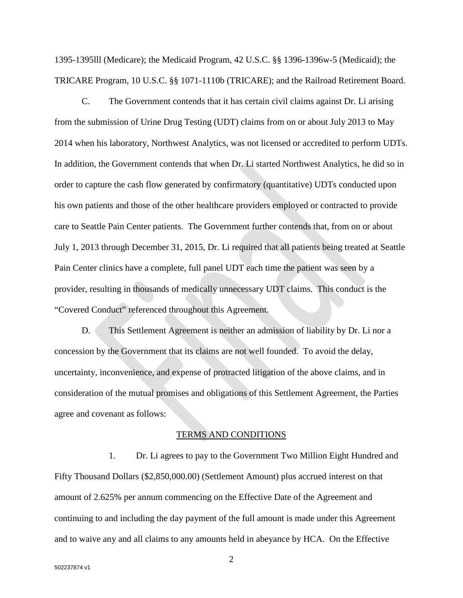1395-1395lll (Medicare); the Medicaid Program, 42 U.S.C. §§ 1396-1396w-5 (Medicaid); the TRICARE Program, 10 U.S.C. §§ 1071-1110b (TRICARE); and the Railroad Retirement Board.

C. The Government contends that it has certain civil claims against Dr. Li arising from the submission of Urine Drug Testing (UDT) claims from on or about July 2013 to May 2014 when his laboratory, Northwest Analytics, was not licensed or accredited to perform UDTs. In addition, the Government contends that when Dr. Li started Northwest Analytics, he did so in order to capture the cash flow generated by confirmatory (quantitative) UDTs conducted upon his own patients and those of the other healthcare providers employed or contracted to provide care to Seattle Pain Center patients. The Government further contends that, from on or about July 1, 2013 through December 31, 2015, Dr. Li required that all patients being treated at Seattle Pain Center clinics have a complete, full panel UDT each time the patient was seen by a provider, resulting in thousands of medically unnecessary UDT claims. This conduct is the "Covered Conduct" referenced throughout this Agreement.

D. This Settlement Agreement is neither an admission of liability by Dr. Li nor a concession by the Government that its claims are not well founded. To avoid the delay, uncertainty, inconvenience, and expense of protracted litigation of the above claims, and in consideration of the mutual promises and obligations of this Settlement Agreement, the Parties agree and covenant as follows:

#### TERMS AND CONDITIONS

1. Dr. Li agrees to pay to the Government Two Million Eight Hundred and Fifty Thousand Dollars (\$2,850,000.00) (Settlement Amount) plus accrued interest on that amount of 2.625% per annum commencing on the Effective Date of the Agreement and continuing to and including the day payment of the full amount is made under this Agreement and to waive any and all claims to any amounts held in abeyance by HCA. On the Effective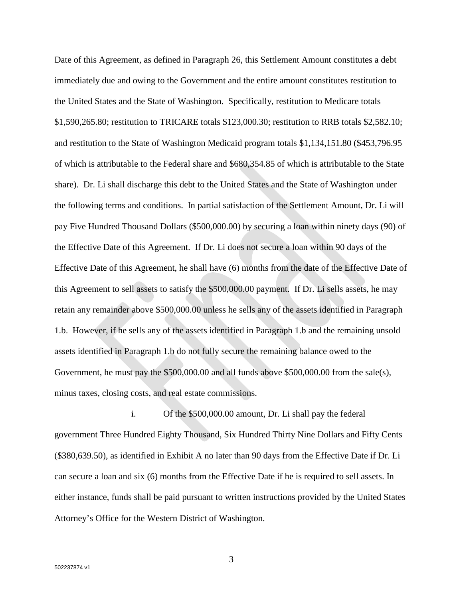Date of this Agreement, as defined in Paragraph 26, this Settlement Amount constitutes a debt immediately due and owing to the Government and the entire amount constitutes restitution to the United States and the State of Washington. Specifically, restitution to Medicare totals \$1,590,265.80; restitution to TRICARE totals \$123,000.30; restitution to RRB totals \$2,582.10; and restitution to the State of Washington Medicaid program totals \$1,134,151.80 (\$453,796.95 of which is attributable to the Federal share and \$680,354.85 of which is attributable to the State share). Dr. Li shall discharge this debt to the United States and the State of Washington under the following terms and conditions. In partial satisfaction of the Settlement Amount, Dr. Li will pay Five Hundred Thousand Dollars (\$500,000.00) by securing a loan within ninety days (90) of the Effective Date of this Agreement. If Dr. Li does not secure a loan within 90 days of the Effective Date of this Agreement, he shall have (6) months from the date of the Effective Date of this Agreement to sell assets to satisfy the \$500,000.00 payment. If Dr. Li sells assets, he may retain any remainder above \$500,000.00 unless he sells any of the assets identified in Paragraph 1.b. However, if he sells any of the assets identified in Paragraph 1.b and the remaining unsold assets identified in Paragraph 1.b do not fully secure the remaining balance owed to the Government, he must pay the  $$500,000.00$  and all funds above  $$500,000.00$  from the sale(s), minus taxes, closing costs, and real estate commissions.

i. Of the \$500,000.00 amount, Dr. Li shall pay the federal government Three Hundred Eighty Thousand, Six Hundred Thirty Nine Dollars and Fifty Cents (\$380,639.50), as identified in Exhibit A no later than 90 days from the Effective Date if Dr. Li can secure a loan and six (6) months from the Effective Date if he is required to sell assets. In either instance, funds shall be paid pursuant to written instructions provided by the United States Attorney's Office for the Western District of Washington.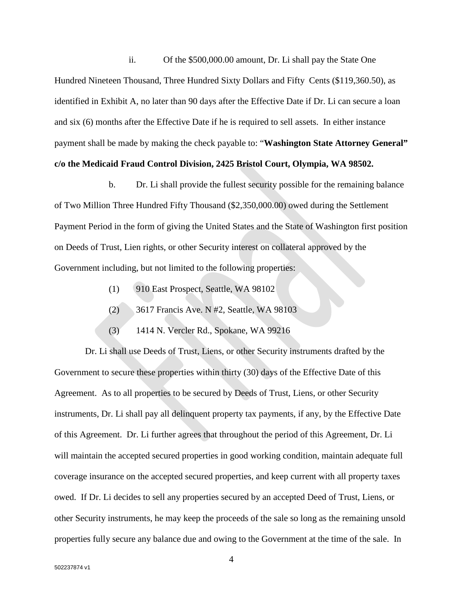ii. Of the \$500,000.00 amount, Dr. Li shall pay the State One Hundred Nineteen Thousand, Three Hundred Sixty Dollars and Fifty Cents (\$119,360.50), as identified in Exhibit A, no later than 90 days after the Effective Date if Dr. Li can secure a loan and six (6) months after the Effective Date if he is required to sell assets. In either instance payment shall be made by making the check payable to: "**Washington State Attorney General" c/o the Medicaid Fraud Control Division, 2425 Bristol Court, Olympia, WA 98502.**

b. Dr. Li shall provide the fullest security possible for the remaining balance of Two Million Three Hundred Fifty Thousand (\$2,350,000.00) owed during the Settlement Payment Period in the form of giving the United States and the State of Washington first position on Deeds of Trust, Lien rights, or other Security interest on collateral approved by the Government including, but not limited to the following properties:

- (1) 910 East Prospect, Seattle, WA 98102
- (2) 3617 Francis Ave. N #2, Seattle, WA 98103
- (3) 1414 N. Vercler Rd., Spokane, WA 99216

Dr. Li shall use Deeds of Trust, Liens, or other Security instruments drafted by the Government to secure these properties within thirty (30) days of the Effective Date of this Agreement. As to all properties to be secured by Deeds of Trust, Liens, or other Security instruments, Dr. Li shall pay all delinquent property tax payments, if any, by the Effective Date of this Agreement. Dr. Li further agrees that throughout the period of this Agreement, Dr. Li will maintain the accepted secured properties in good working condition, maintain adequate full coverage insurance on the accepted secured properties, and keep current with all property taxes owed. If Dr. Li decides to sell any properties secured by an accepted Deed of Trust, Liens, or other Security instruments, he may keep the proceeds of the sale so long as the remaining unsold properties fully secure any balance due and owing to the Government at the time of the sale. In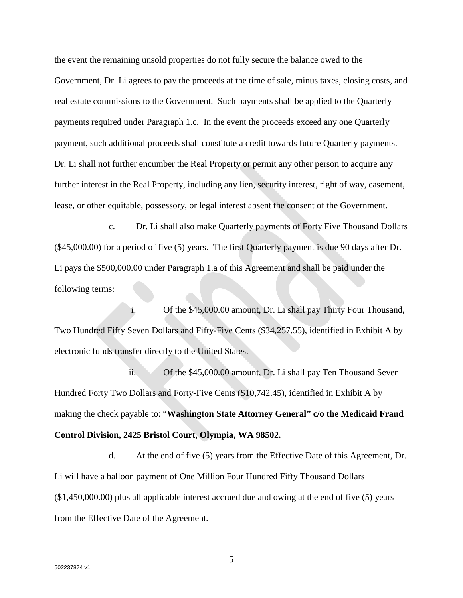the event the remaining unsold properties do not fully secure the balance owed to the Government, Dr. Li agrees to pay the proceeds at the time of sale, minus taxes, closing costs, and real estate commissions to the Government. Such payments shall be applied to the Quarterly payments required under Paragraph 1.c. In the event the proceeds exceed any one Quarterly payment, such additional proceeds shall constitute a credit towards future Quarterly payments. Dr. Li shall not further encumber the Real Property or permit any other person to acquire any further interest in the Real Property, including any lien, security interest, right of way, easement, lease, or other equitable, possessory, or legal interest absent the consent of the Government.

c. Dr. Li shall also make Quarterly payments of Forty Five Thousand Dollars (\$45,000.00) for a period of five (5) years. The first Quarterly payment is due 90 days after Dr. Li pays the \$500,000.00 under Paragraph 1.a of this Agreement and shall be paid under the following terms:

i. Of the \$45,000.00 amount, Dr. Li shall pay Thirty Four Thousand, Two Hundred Fifty Seven Dollars and Fifty-Five Cents (\$34,257.55), identified in Exhibit A by electronic funds transfer directly to the United States.

ii. Of the \$45,000.00 amount, Dr. Li shall pay Ten Thousand Seven Hundred Forty Two Dollars and Forty-Five Cents (\$10,742.45), identified in Exhibit A by making the check payable to: "**Washington State Attorney General" c/o the Medicaid Fraud Control Division, 2425 Bristol Court, Olympia, WA 98502.**

d. At the end of five (5) years from the Effective Date of this Agreement, Dr. Li will have a balloon payment of One Million Four Hundred Fifty Thousand Dollars (\$1,450,000.00) plus all applicable interest accrued due and owing at the end of five (5) years from the Effective Date of the Agreement.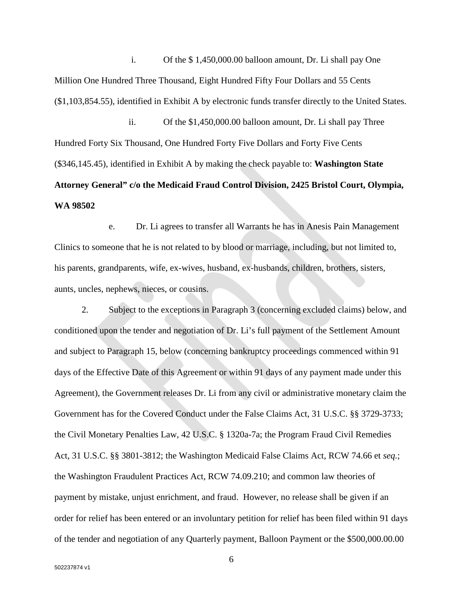i. Of the \$ 1,450,000.00 balloon amount, Dr. Li shall pay One Million One Hundred Three Thousand, Eight Hundred Fifty Four Dollars and 55 Cents (\$1,103,854.55), identified in Exhibit A by electronic funds transfer directly to the United States.

ii. Of the \$1,450,000.00 balloon amount, Dr. Li shall pay Three Hundred Forty Six Thousand, One Hundred Forty Five Dollars and Forty Five Cents (\$346,145.45), identified in Exhibit A by making the check payable to: **Washington State Attorney General" c/o the Medicaid Fraud Control Division, 2425 Bristol Court, Olympia, WA 98502**

e. Dr. Li agrees to transfer all Warrants he has in Anesis Pain Management Clinics to someone that he is not related to by blood or marriage, including, but not limited to, his parents, grandparents, wife, ex-wives, husband, ex-husbands, children, brothers, sisters, aunts, uncles, nephews, nieces, or cousins.

2. Subject to the exceptions in Paragraph 3 (concerning excluded claims) below, and conditioned upon the tender and negotiation of Dr. Li's full payment of the Settlement Amount and subject to Paragraph 15, below (concerning bankruptcy proceedings commenced within 91 days of the Effective Date of this Agreement or within 91 days of any payment made under this Agreement), the Government releases Dr. Li from any civil or administrative monetary claim the Government has for the Covered Conduct under the False Claims Act, 31 U.S.C. §§ 3729-3733; the Civil Monetary Penalties Law, 42 U.S.C. § 1320a-7a; the Program Fraud Civil Remedies Act, 31 U.S.C. §§ 3801-3812; the Washington Medicaid False Claims Act, RCW 74.66 et *seq.*; the Washington Fraudulent Practices Act, RCW 74.09.210; and common law theories of payment by mistake, unjust enrichment, and fraud. However, no release shall be given if an order for relief has been entered or an involuntary petition for relief has been filed within 91 days of the tender and negotiation of any Quarterly payment, Balloon Payment or the \$500,000.00.00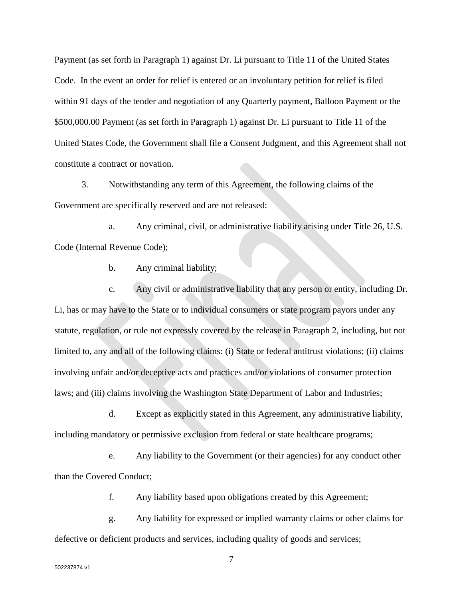Payment (as set forth in Paragraph 1) against Dr. Li pursuant to Title 11 of the United States Code. In the event an order for relief is entered or an involuntary petition for relief is filed within 91 days of the tender and negotiation of any Quarterly payment, Balloon Payment or the \$500,000.00 Payment (as set forth in Paragraph 1) against Dr. Li pursuant to Title 11 of the United States Code, the Government shall file a Consent Judgment, and this Agreement shall not constitute a contract or novation.

3. Notwithstanding any term of this Agreement, the following claims of the Government are specifically reserved and are not released:

a. Any criminal, civil, or administrative liability arising under Title 26, U.S. Code (Internal Revenue Code);

b. Any criminal liability;

c. Any civil or administrative liability that any person or entity, including Dr. Li, has or may have to the State or to individual consumers or state program payors under any statute, regulation, or rule not expressly covered by the release in Paragraph 2, including, but not limited to, any and all of the following claims: (i) State or federal antitrust violations; (ii) claims involving unfair and/or deceptive acts and practices and/or violations of consumer protection laws; and (iii) claims involving the Washington State Department of Labor and Industries;

d. Except as explicitly stated in this Agreement, any administrative liability, including mandatory or permissive exclusion from federal or state healthcare programs;

e. Any liability to the Government (or their agencies) for any conduct other than the Covered Conduct;

f. Any liability based upon obligations created by this Agreement;

g. Any liability for expressed or implied warranty claims or other claims for defective or deficient products and services, including quality of goods and services;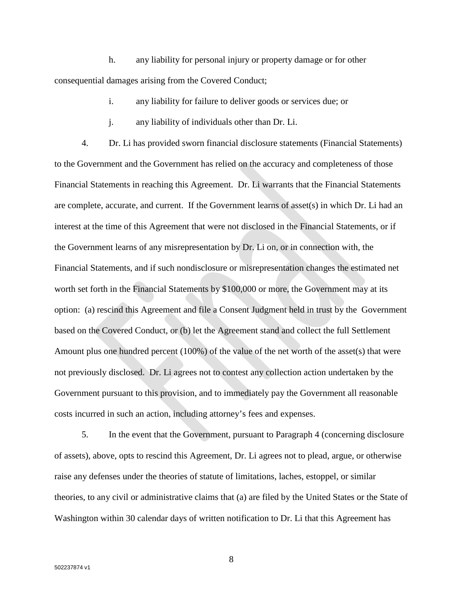h. any liability for personal injury or property damage or for other consequential damages arising from the Covered Conduct;

- i. any liability for failure to deliver goods or services due; or
- j. any liability of individuals other than Dr. Li.

4. Dr. Li has provided sworn financial disclosure statements (Financial Statements) to the Government and the Government has relied on the accuracy and completeness of those Financial Statements in reaching this Agreement. Dr. Li warrants that the Financial Statements are complete, accurate, and current. If the Government learns of asset(s) in which Dr. Li had an interest at the time of this Agreement that were not disclosed in the Financial Statements, or if the Government learns of any misrepresentation by Dr. Li on, or in connection with, the Financial Statements, and if such nondisclosure or misrepresentation changes the estimated net worth set forth in the Financial Statements by \$100,000 or more, the Government may at its option: (a) rescind this Agreement and file a Consent Judgment held in trust by the Government based on the Covered Conduct, or (b) let the Agreement stand and collect the full Settlement Amount plus one hundred percent (100%) of the value of the net worth of the asset(s) that were not previously disclosed. Dr. Li agrees not to contest any collection action undertaken by the Government pursuant to this provision, and to immediately pay the Government all reasonable costs incurred in such an action, including attorney's fees and expenses.

5. In the event that the Government, pursuant to Paragraph 4 (concerning disclosure of assets), above, opts to rescind this Agreement, Dr. Li agrees not to plead, argue, or otherwise raise any defenses under the theories of statute of limitations, laches, estoppel, or similar theories, to any civil or administrative claims that (a) are filed by the United States or the State of Washington within 30 calendar days of written notification to Dr. Li that this Agreement has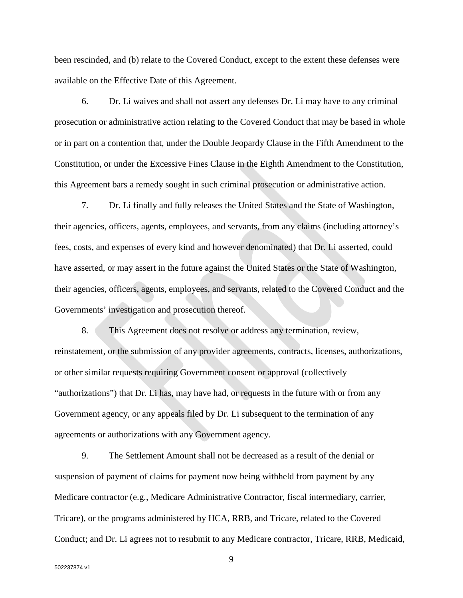been rescinded, and (b) relate to the Covered Conduct, except to the extent these defenses were available on the Effective Date of this Agreement.

6. Dr. Li waives and shall not assert any defenses Dr. Li may have to any criminal prosecution or administrative action relating to the Covered Conduct that may be based in whole or in part on a contention that, under the Double Jeopardy Clause in the Fifth Amendment to the Constitution, or under the Excessive Fines Clause in the Eighth Amendment to the Constitution, this Agreement bars a remedy sought in such criminal prosecution or administrative action.

7. Dr. Li finally and fully releases the United States and the State of Washington, their agencies, officers, agents, employees, and servants, from any claims (including attorney's fees, costs, and expenses of every kind and however denominated) that Dr. Li asserted, could have asserted, or may assert in the future against the United States or the State of Washington, their agencies, officers, agents, employees, and servants, related to the Covered Conduct and the Governments' investigation and prosecution thereof.

8. This Agreement does not resolve or address any termination, review, reinstatement, or the submission of any provider agreements, contracts, licenses, authorizations, or other similar requests requiring Government consent or approval (collectively "authorizations") that Dr. Li has, may have had, or requests in the future with or from any Government agency, or any appeals filed by Dr. Li subsequent to the termination of any agreements or authorizations with any Government agency.

9. The Settlement Amount shall not be decreased as a result of the denial or suspension of payment of claims for payment now being withheld from payment by any Medicare contractor (e.g., Medicare Administrative Contractor, fiscal intermediary, carrier, Tricare), or the programs administered by HCA, RRB, and Tricare, related to the Covered Conduct; and Dr. Li agrees not to resubmit to any Medicare contractor, Tricare, RRB, Medicaid,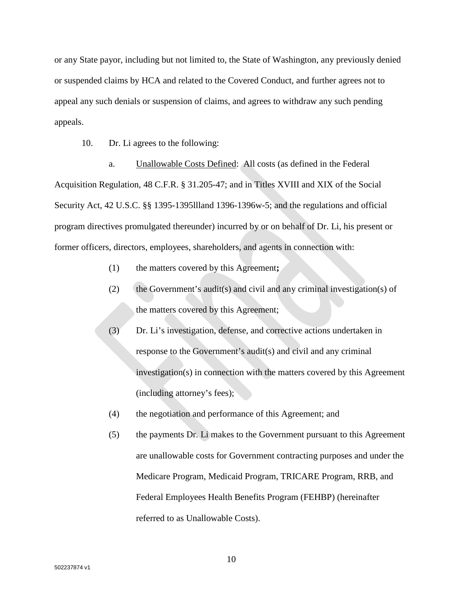or any State payor, including but not limited to, the State of Washington, any previously denied or suspended claims by HCA and related to the Covered Conduct, and further agrees not to appeal any such denials or suspension of claims, and agrees to withdraw any such pending appeals.

10. Dr. Li agrees to the following:

a. Unallowable Costs Defined: All costs (as defined in the Federal Acquisition Regulation, 48 C.F.R. § 31.205-47; and in Titles XVIII and XIX of the Social Security Act, 42 U.S.C. §§ 1395-1395llland 1396-1396w-5; and the regulations and official program directives promulgated thereunder) incurred by or on behalf of Dr. Li, his present or former officers, directors, employees, shareholders, and agents in connection with:

- (1) the matters covered by this Agreement**;**
- (2) the Government's audit(s) and civil and any criminal investigation(s) of the matters covered by this Agreement;
- (3) Dr. Li's investigation, defense, and corrective actions undertaken in response to the Government's audit(s) and civil and any criminal investigation(s) in connection with the matters covered by this Agreement (including attorney's fees);
- (4) the negotiation and performance of this Agreement; and
- (5) the payments Dr. Li makes to the Government pursuant to this Agreement are unallowable costs for Government contracting purposes and under the Medicare Program, Medicaid Program, TRICARE Program, RRB, and Federal Employees Health Benefits Program (FEHBP) (hereinafter referred to as Unallowable Costs).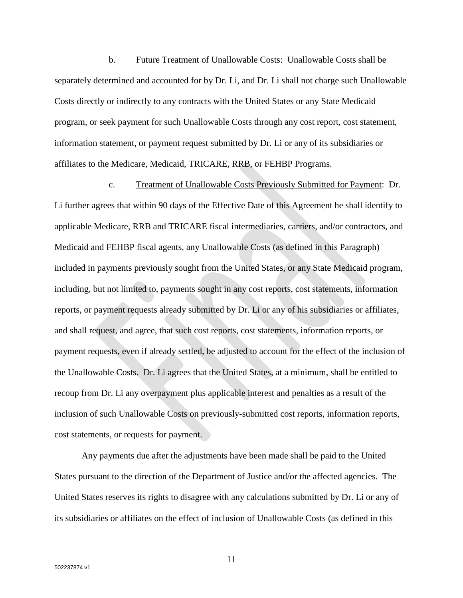b. Future Treatment of Unallowable Costs: Unallowable Costs shall be separately determined and accounted for by Dr. Li, and Dr. Li shall not charge such Unallowable Costs directly or indirectly to any contracts with the United States or any State Medicaid program, or seek payment for such Unallowable Costs through any cost report, cost statement, information statement, or payment request submitted by Dr. Li or any of its subsidiaries or affiliates to the Medicare, Medicaid, TRICARE, RRB, or FEHBP Programs.

c. Treatment of Unallowable Costs Previously Submitted for Payment: Dr. Li further agrees that within 90 days of the Effective Date of this Agreement he shall identify to applicable Medicare, RRB and TRICARE fiscal intermediaries, carriers, and/or contractors, and Medicaid and FEHBP fiscal agents, any Unallowable Costs (as defined in this Paragraph) included in payments previously sought from the United States, or any State Medicaid program, including, but not limited to, payments sought in any cost reports, cost statements, information reports, or payment requests already submitted by Dr. Li or any of his subsidiaries or affiliates, and shall request, and agree, that such cost reports, cost statements, information reports, or payment requests, even if already settled, be adjusted to account for the effect of the inclusion of the Unallowable Costs. Dr. Li agrees that the United States, at a minimum, shall be entitled to recoup from Dr. Li any overpayment plus applicable interest and penalties as a result of the inclusion of such Unallowable Costs on previously-submitted cost reports, information reports, cost statements, or requests for payment.

Any payments due after the adjustments have been made shall be paid to the United States pursuant to the direction of the Department of Justice and/or the affected agencies. The United States reserves its rights to disagree with any calculations submitted by Dr. Li or any of its subsidiaries or affiliates on the effect of inclusion of Unallowable Costs (as defined in this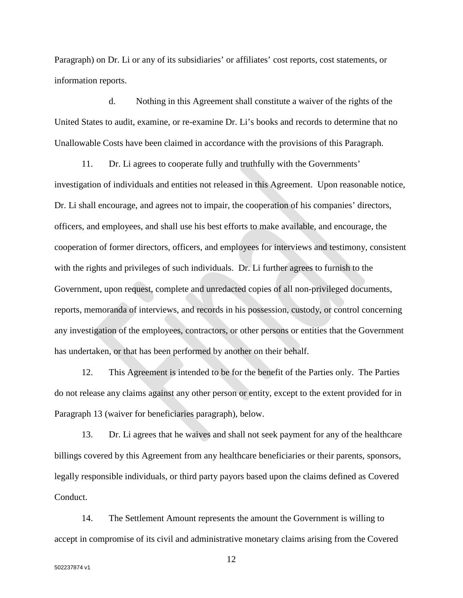Paragraph) on Dr. Li or any of its subsidiaries' or affiliates' cost reports, cost statements, or information reports.

d. Nothing in this Agreement shall constitute a waiver of the rights of the United States to audit, examine, or re-examine Dr. Li's books and records to determine that no Unallowable Costs have been claimed in accordance with the provisions of this Paragraph.

11. Dr. Li agrees to cooperate fully and truthfully with the Governments' investigation of individuals and entities not released in this Agreement. Upon reasonable notice, Dr. Li shall encourage, and agrees not to impair, the cooperation of his companies' directors, officers, and employees, and shall use his best efforts to make available, and encourage, the cooperation of former directors, officers, and employees for interviews and testimony, consistent with the rights and privileges of such individuals. Dr. Li further agrees to furnish to the Government, upon request, complete and unredacted copies of all non-privileged documents, reports, memoranda of interviews, and records in his possession, custody, or control concerning any investigation of the employees, contractors, or other persons or entities that the Government has undertaken, or that has been performed by another on their behalf.

12. This Agreement is intended to be for the benefit of the Parties only. The Parties do not release any claims against any other person or entity, except to the extent provided for in Paragraph 13 (waiver for beneficiaries paragraph), below.

13. Dr. Li agrees that he waives and shall not seek payment for any of the healthcare billings covered by this Agreement from any healthcare beneficiaries or their parents, sponsors, legally responsible individuals, or third party payors based upon the claims defined as Covered Conduct.

14. The Settlement Amount represents the amount the Government is willing to accept in compromise of its civil and administrative monetary claims arising from the Covered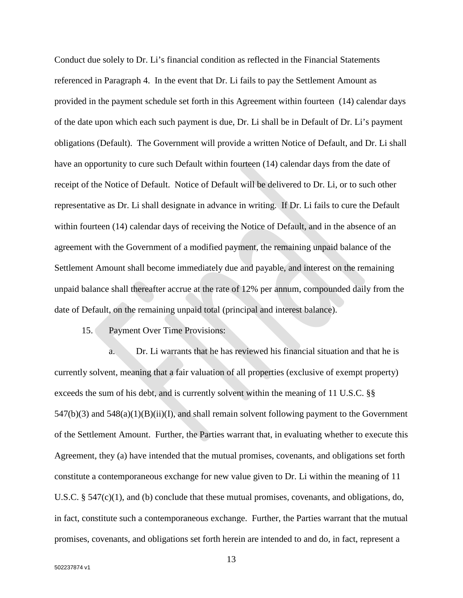Conduct due solely to Dr. Li's financial condition as reflected in the Financial Statements referenced in Paragraph 4. In the event that Dr. Li fails to pay the Settlement Amount as provided in the payment schedule set forth in this Agreement within fourteen (14) calendar days of the date upon which each such payment is due, Dr. Li shall be in Default of Dr. Li's payment obligations (Default). The Government will provide a written Notice of Default, and Dr. Li shall have an opportunity to cure such Default within fourteen (14) calendar days from the date of receipt of the Notice of Default. Notice of Default will be delivered to Dr. Li, or to such other representative as Dr. Li shall designate in advance in writing. If Dr. Li fails to cure the Default within fourteen (14) calendar days of receiving the Notice of Default, and in the absence of an agreement with the Government of a modified payment, the remaining unpaid balance of the Settlement Amount shall become immediately due and payable, and interest on the remaining unpaid balance shall thereafter accrue at the rate of 12% per annum, compounded daily from the date of Default, on the remaining unpaid total (principal and interest balance).

15. Payment Over Time Provisions:

a. Dr. Li warrants that he has reviewed his financial situation and that he is currently solvent, meaning that a fair valuation of all properties (exclusive of exempt property) exceeds the sum of his debt, and is currently solvent within the meaning of 11 U.S.C. §§  $547(b)(3)$  and  $548(a)(1)(B)(ii)(I)$ , and shall remain solvent following payment to the Government of the Settlement Amount. Further, the Parties warrant that, in evaluating whether to execute this Agreement, they (a) have intended that the mutual promises, covenants, and obligations set forth constitute a contemporaneous exchange for new value given to Dr. Li within the meaning of 11 U.S.C.  $\S$  547(c)(1), and (b) conclude that these mutual promises, covenants, and obligations, do, in fact, constitute such a contemporaneous exchange. Further, the Parties warrant that the mutual promises, covenants, and obligations set forth herein are intended to and do, in fact, represent a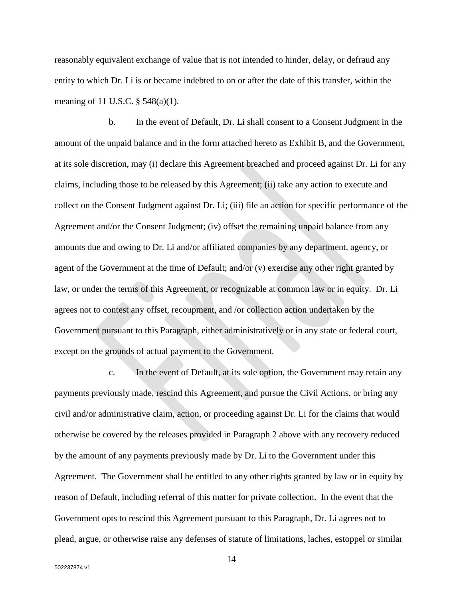reasonably equivalent exchange of value that is not intended to hinder, delay, or defraud any entity to which Dr. Li is or became indebted to on or after the date of this transfer, within the meaning of 11 U.S.C. § 548(a)(1).

b. In the event of Default, Dr. Li shall consent to a Consent Judgment in the amount of the unpaid balance and in the form attached hereto as Exhibit B, and the Government, at its sole discretion, may (i) declare this Agreement breached and proceed against Dr. Li for any claims, including those to be released by this Agreement; (ii) take any action to execute and collect on the Consent Judgment against Dr. Li; (iii) file an action for specific performance of the Agreement and/or the Consent Judgment; (iv) offset the remaining unpaid balance from any amounts due and owing to Dr. Li and/or affiliated companies by any department, agency, or agent of the Government at the time of Default; and/or (v) exercise any other right granted by law, or under the terms of this Agreement, or recognizable at common law or in equity. Dr. Li agrees not to contest any offset, recoupment, and /or collection action undertaken by the Government pursuant to this Paragraph, either administratively or in any state or federal court, except on the grounds of actual payment to the Government.

c. In the event of Default, at its sole option, the Government may retain any payments previously made, rescind this Agreement, and pursue the Civil Actions, or bring any civil and/or administrative claim, action, or proceeding against Dr. Li for the claims that would otherwise be covered by the releases provided in Paragraph 2 above with any recovery reduced by the amount of any payments previously made by Dr. Li to the Government under this Agreement. The Government shall be entitled to any other rights granted by law or in equity by reason of Default, including referral of this matter for private collection. In the event that the Government opts to rescind this Agreement pursuant to this Paragraph, Dr. Li agrees not to plead, argue, or otherwise raise any defenses of statute of limitations, laches, estoppel or similar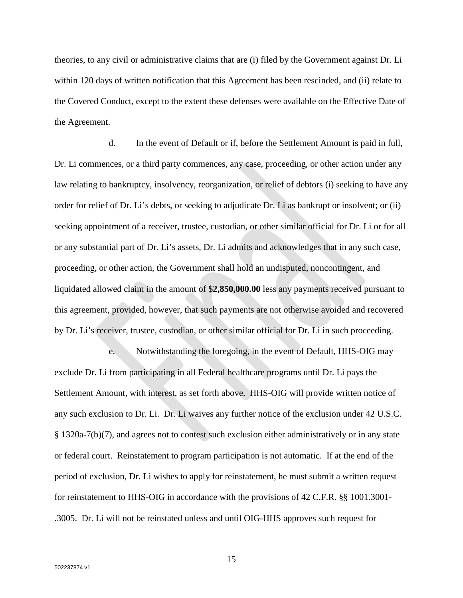theories, to any civil or administrative claims that are (i) filed by the Government against Dr. Li within 120 days of written notification that this Agreement has been rescinded, and (ii) relate to the Covered Conduct, except to the extent these defenses were available on the Effective Date of the Agreement.

d. In the event of Default or if, before the Settlement Amount is paid in full, Dr. Li commences, or a third party commences, any case, proceeding, or other action under any law relating to bankruptcy, insolvency, reorganization, or relief of debtors (i) seeking to have any order for relief of Dr. Li's debts, or seeking to adjudicate Dr. Li as bankrupt or insolvent; or (ii) seeking appointment of a receiver, trustee, custodian, or other similar official for Dr. Li or for all or any substantial part of Dr. Li's assets, Dr. Li admits and acknowledges that in any such case, proceeding, or other action, the Government shall hold an undisputed, noncontingent, and liquidated allowed claim in the amount of \$**2,850,000.00** less any payments received pursuant to this agreement, provided, however, that such payments are not otherwise avoided and recovered by Dr. Li's receiver, trustee, custodian, or other similar official for Dr. Li in such proceeding.

e. Notwithstanding the foregoing, in the event of Default, HHS-OIG may exclude Dr. Li from participating in all Federal healthcare programs until Dr. Li pays the Settlement Amount, with interest, as set forth above. HHS-OIG will provide written notice of any such exclusion to Dr. Li. Dr. Li waives any further notice of the exclusion under 42 U.S.C. § 1320a-7(b)(7), and agrees not to contest such exclusion either administratively or in any state or federal court. Reinstatement to program participation is not automatic. If at the end of the period of exclusion, Dr. Li wishes to apply for reinstatement, he must submit a written request for reinstatement to HHS-OIG in accordance with the provisions of 42 C.F.R. §§ 1001.3001- .3005. Dr. Li will not be reinstated unless and until OIG-HHS approves such request for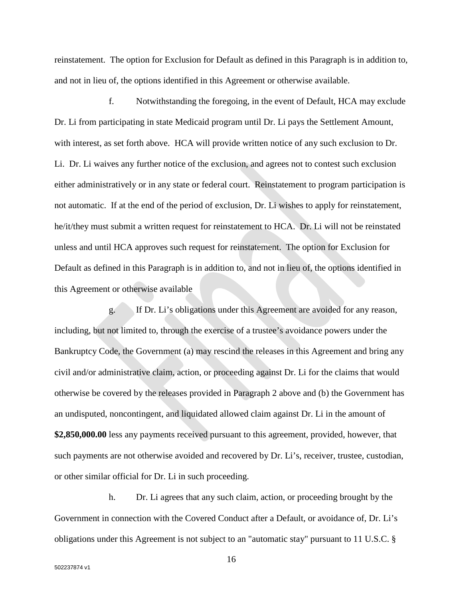reinstatement. The option for Exclusion for Default as defined in this Paragraph is in addition to, and not in lieu of, the options identified in this Agreement or otherwise available.

f. Notwithstanding the foregoing, in the event of Default, HCA may exclude Dr. Li from participating in state Medicaid program until Dr. Li pays the Settlement Amount, with interest, as set forth above. HCA will provide written notice of any such exclusion to Dr. Li. Dr. Li waives any further notice of the exclusion, and agrees not to contest such exclusion either administratively or in any state or federal court. Reinstatement to program participation is not automatic. If at the end of the period of exclusion, Dr. Li wishes to apply for reinstatement, he/it/they must submit a written request for reinstatement to HCA. Dr. Li will not be reinstated unless and until HCA approves such request for reinstatement. The option for Exclusion for Default as defined in this Paragraph is in addition to, and not in lieu of, the options identified in this Agreement or otherwise available

g. If Dr. Li's obligations under this Agreement are avoided for any reason, including, but not limited to, through the exercise of a trustee's avoidance powers under the Bankruptcy Code, the Government (a) may rescind the releases in this Agreement and bring any civil and/or administrative claim, action, or proceeding against Dr. Li for the claims that would otherwise be covered by the releases provided in Paragraph 2 above and (b) the Government has an undisputed, noncontingent, and liquidated allowed claim against Dr. Li in the amount of **\$2,850,000.00** less any payments received pursuant to this agreement, provided, however, that such payments are not otherwise avoided and recovered by Dr. Li's, receiver, trustee, custodian, or other similar official for Dr. Li in such proceeding.

h. Dr. Li agrees that any such claim, action, or proceeding brought by the Government in connection with the Covered Conduct after a Default, or avoidance of, Dr. Li's obligations under this Agreement is not subject to an "automatic stay" pursuant to 11 U.S.C. §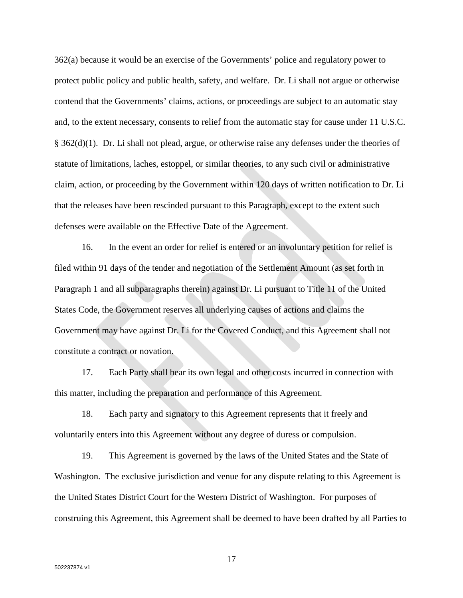362(a) because it would be an exercise of the Governments' police and regulatory power to protect public policy and public health, safety, and welfare. Dr. Li shall not argue or otherwise contend that the Governments' claims, actions, or proceedings are subject to an automatic stay and, to the extent necessary, consents to relief from the automatic stay for cause under 11 U.S.C. § 362(d)(1). Dr. Li shall not plead, argue, or otherwise raise any defenses under the theories of statute of limitations, laches, estoppel, or similar theories, to any such civil or administrative claim, action, or proceeding by the Government within 120 days of written notification to Dr. Li that the releases have been rescinded pursuant to this Paragraph, except to the extent such defenses were available on the Effective Date of the Agreement.

16. In the event an order for relief is entered or an involuntary petition for relief is filed within 91 days of the tender and negotiation of the Settlement Amount (as set forth in Paragraph 1 and all subparagraphs therein) against Dr. Li pursuant to Title 11 of the United States Code, the Government reserves all underlying causes of actions and claims the Government may have against Dr. Li for the Covered Conduct, and this Agreement shall not constitute a contract or novation.

17. Each Party shall bear its own legal and other costs incurred in connection with this matter, including the preparation and performance of this Agreement.

18. Each party and signatory to this Agreement represents that it freely and voluntarily enters into this Agreement without any degree of duress or compulsion.

19. This Agreement is governed by the laws of the United States and the State of Washington. The exclusive jurisdiction and venue for any dispute relating to this Agreement is the United States District Court for the Western District of Washington. For purposes of construing this Agreement, this Agreement shall be deemed to have been drafted by all Parties to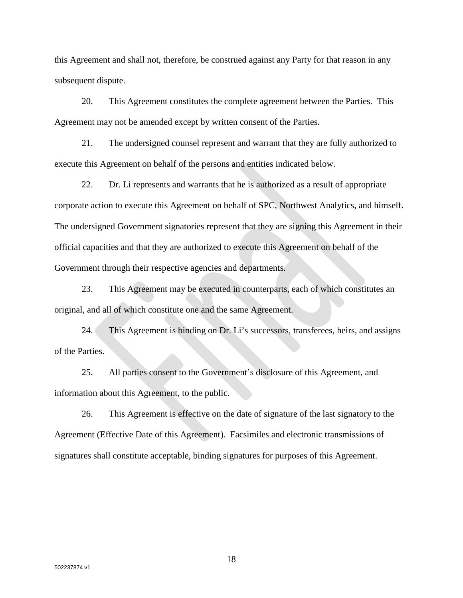this Agreement and shall not, therefore, be construed against any Party for that reason in any subsequent dispute.

20. This Agreement constitutes the complete agreement between the Parties. This Agreement may not be amended except by written consent of the Parties.

21. The undersigned counsel represent and warrant that they are fully authorized to execute this Agreement on behalf of the persons and entities indicated below.

22. Dr. Li represents and warrants that he is authorized as a result of appropriate corporate action to execute this Agreement on behalf of SPC, Northwest Analytics, and himself. The undersigned Government signatories represent that they are signing this Agreement in their official capacities and that they are authorized to execute this Agreement on behalf of the Government through their respective agencies and departments.

23. This Agreement may be executed in counterparts, each of which constitutes an original, and all of which constitute one and the same Agreement.

24. This Agreement is binding on Dr. Li's successors, transferees, heirs, and assigns of the Parties.

25. All parties consent to the Government's disclosure of this Agreement, and information about this Agreement, to the public.

26. This Agreement is effective on the date of signature of the last signatory to the Agreement (Effective Date of this Agreement). Facsimiles and electronic transmissions of signatures shall constitute acceptable, binding signatures for purposes of this Agreement.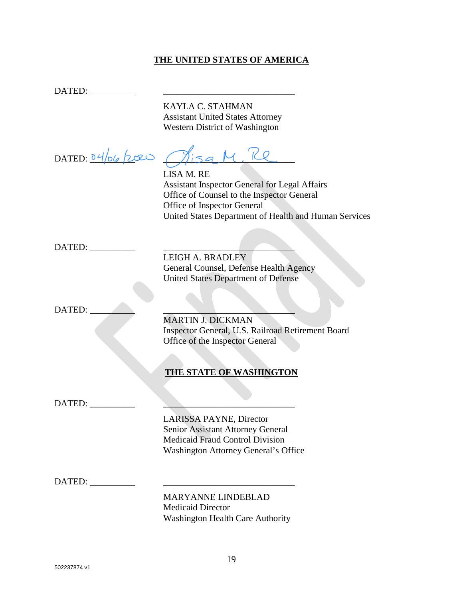## **THE UNITED STATES OF AMERICA**

DATED:

KAYLA C. STAHMAN Assistant United States Attorney Western District of Washington

DATED:  $04/b6$  /200  $M_{154}$  M.

LISA M. RE Assistant Inspector General for Legal Affairs Office of Counsel to the Inspector General Office of Inspector General United States Department of Health and Human Services

DATED:

LEIGH A. BRADLEY General Counsel, Defense Health Agency United States Department of Defense

 $DATA$  DATED:

MARTIN J. DICKMAN Inspector General, U.S. Railroad Retirement Board Office of the Inspector General

## **THE STATE OF WASHINGTON**

 $\text{DATED:}\_\_$ 

LARISSA PAYNE, Director Senior Assistant Attorney General Medicaid Fraud Control Division Washington Attorney General's Office

DATED:

MARYANNE LINDEBLAD Medicaid Director Washington Health Care Authority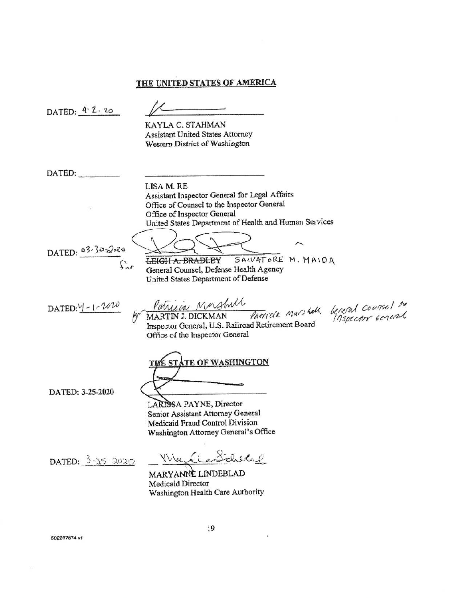### THE UNITED STATES OF AMERICA

DATED: 4.2.20 KAYLA C. STAHMAN **Assistant United States Attorney** Western District of Washington DATED: LISA M. RE Assistant Inspector General for Legal Affairs Office of Counsel to the Inspector General Office of Inspector General United States Department of Health and Human Services DATED: 03-302020 SALVATORE M. MAIDA **LEIGH A. BRADLEY** General Counsel, Defense Health Agency United States Department of Defense Patricia Mashill Parricia Marshall, beneral coursel to  $\text{DATED:} \frac{1}{2} - 1 - 1000$ MARTIN J. DICKMAN Inspector General, U.S. Railroad Retirement Board Office of the Inspector General **TE OF WASHINGTON** DATED: 3-25-2020 LARISSA PAYNE, Director Senior Assistant Attorney General Medicaid Fraud Control Division Washington Attorney General's Office Wa. DATED:  $3-3.5$  2020 MARYANNE LINDEBLAD Medicaid Director Washington Health Care Authority

502237874 vt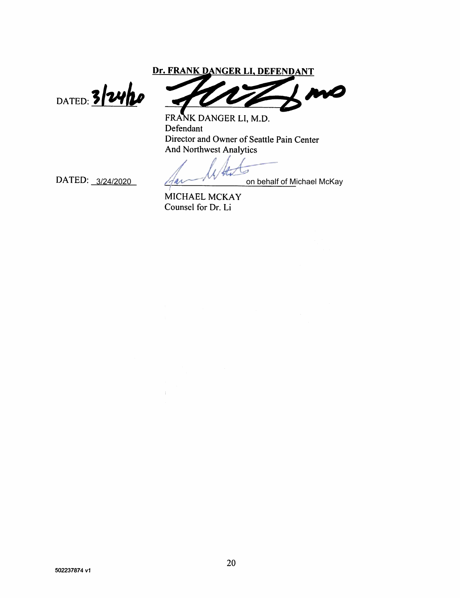Dr. FRANK DANGER LI, DEFENDANT

DATED: 3/24/20

MO

FRANK DANGER LI, M.D. Defendant Director and Owner of Seattle Pain Center **And Northwest Analytics** 

я

DATED: 3/24/2020

on behalf of Michael McKay

MICHAEL MCKAY Counsel for Dr. Li